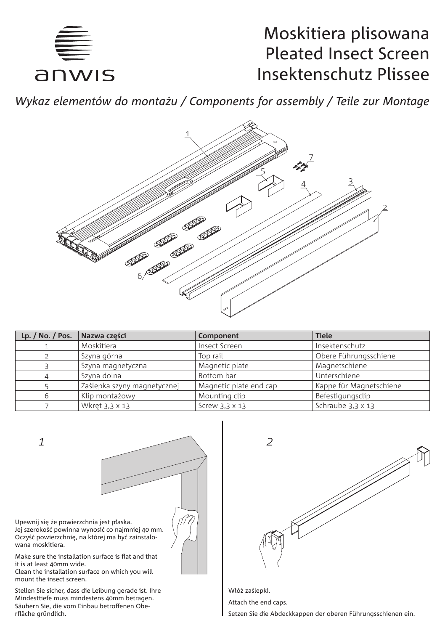

# Moskitiera plisowana Pleated Insect Screen Insektenschutz Plissee

*Wykaz elementów do montażu / Components for assembly / Teile zur Montage*



| Lp. $/$ No. $/$ Pos. | Nazwa części                | Component              | <b>Tiele</b>            |
|----------------------|-----------------------------|------------------------|-------------------------|
|                      | Moskitiera                  | Insect Screen          | Insektenschutz          |
|                      | Szyna górna                 | Top rail               | Obere Führungsschiene   |
|                      | Szyna magnetyczna           | Magnetic plate         | Magnetschiene           |
|                      | Szyna dolna                 | Bottom bar             | Unterschiene            |
|                      | Zaślepka szyny magnetycznej | Magnetic plate end cap | Kappe für Magnetschiene |
|                      | Klip montażowy              | Mounting clip          | Befestigungsclip        |
|                      | Wkret 3.3 x 13              | Screw 3.3 x 13         | Schraube 3.3 x 13       |

*1*



Upewnij się że powierzchnia jest płaska. Jej szerokość powinna wynosić co najmniej 40 mm. Oczyść powierzchnię, na której ma być zainstalowana moskitiera.

Make sure the installation surface is flat and that it is at least 40mm wide.

Clean the installation surface on which you will mount the insect screen.

Stellen Sie sicher, dass die Leibung gerade ist. Ihre Mindesttiefe muss mindestens 40mm betragen. Säubern Sie, die vom Einbau betroffenen Oberfläche gründlich.



Włóż zaślepki.

Attach the end caps.

Setzen Sie die Abdeckkappen der oberen Führungsschienen ein.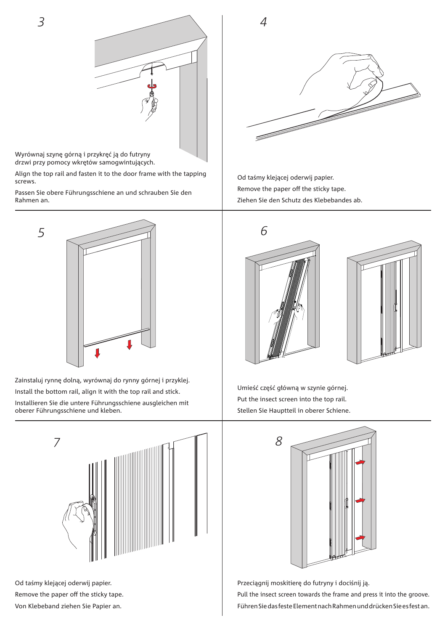

Wyrównaj szynę górną i przykręć ją do futryny drzwi przy pomocy wkrętów samogwintujących.

Align the top rail and fasten it to the door frame with the tapping screws.

Passen Sie obere Führungsschiene an und schrauben Sie den Rahmen an.



Zainstaluj rynnę dolną, wyrównaj do rynny górnej i przyklej. Install the bottom rail, align it with the top rail and stick. Installieren Sie die untere Führungsschiene ausgleichen mit oberer Führungsschiene und kleben.



Od taśmy klejącej oderwij papier. Remove the paper off the sticky tape. Von Klebeband ziehen Sie Papier an.



Od taśmy klejącej oderwij papier. Remove the paper off the sticky tape. Ziehen Sie den Schutz des Klebebandes ab.





Umieść część główną w szynie górnej. Put the insect screen into the top rail. Stellen Sie Hauptteil in oberer Schiene.



Przeciągnij moskitierę do futryny i dociśnij ją.

Pull the insect screen towards the frame and press it into the groove. Führen Sie das feste Element nach Rahmen und drücken Sie es fest an.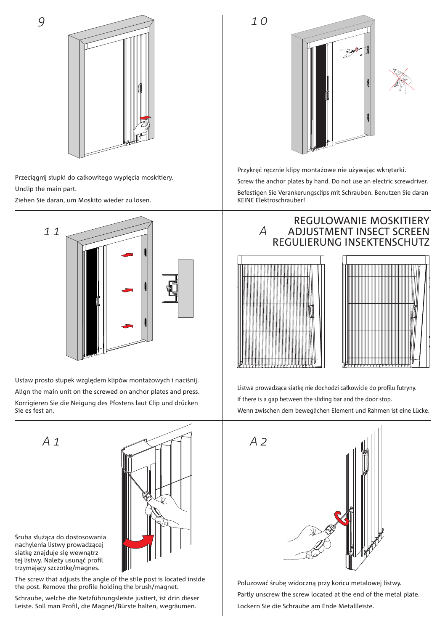



Przeciągnij słupki do całkowitego wypięcia moskitiery. Unclip the main part.

Ziehen Sie daran, um Moskito wieder zu lösen.



Ustaw prosto słupek względem klipów montażowych i naciśnij. Align the main unit on the screwed on anchor plates and press. Korrigieren Sie die Neigung des Pfostens laut Clip und drücken Sie es fest an.

*A 1*



Śruba służąca do dostosowania nachylenia listwy prowadzącej siatkę znajduje się wewnątrz tej listwy. Należy usunąć profil trzymający szczotkę/magnes.

The screw that adjusts the angle of the stile post is located inside the post. Remove the profile holding the brush/magnet.

Schraube, welche die Netzführungsleiste justiert, ist drin dieser Leiste. Soll man Profil, die Magnet/Bürste halten, wegräumen.



Przykręć ręcznie klipy montażowe nie używając wkrętarki. Screw the anchor plates by hand. Do not use an electric screwdriver. Befestigen Sie Verankerungsclips mit Schrauben. Benutzen Sie daran KEINE Elektroschrauber!

> REGULOWANIE MOSKITIERY ADJUSTMENT INSECT SCREEN



*A*



Listwa prowadząca siatkę nie dochodzi całkowicie do profilu futryny. If there is a gap between the sliding bar and the door stop. Wenn zwischen dem beweglichen Element und Rahmen ist eine Lücke.



Poluzować śrubę widoczną przy końcu metalowej listwy. Partly unscrew the screw located at the end of the metal plate. Lockern Sie die Schraube am Ende Metallleiste.